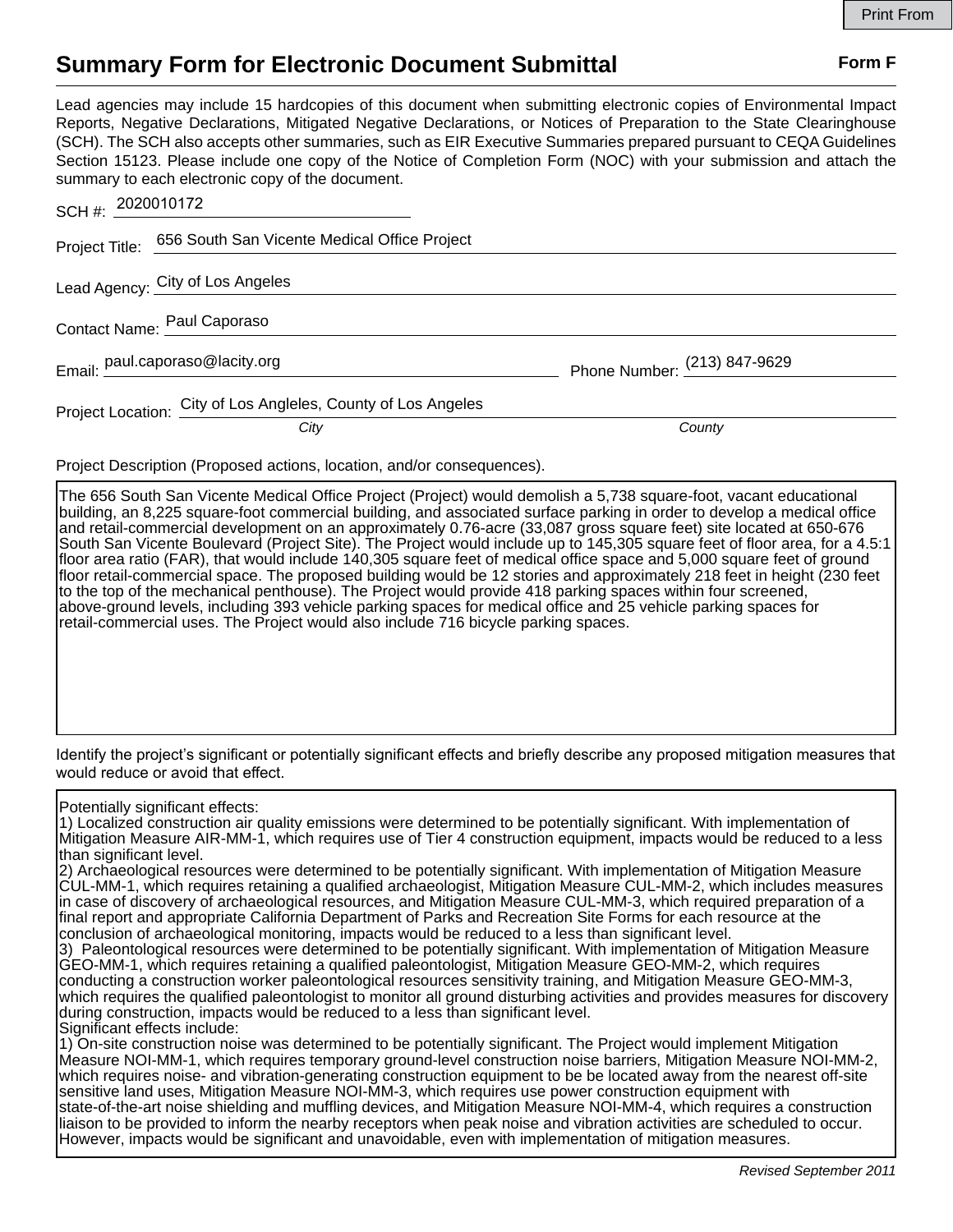## **Summary Form for Electronic Document Submittal Form F Form F**

Lead agencies may include 15 hardcopies of this document when submitting electronic copies of Environmental Impact Reports, Negative Declarations, Mitigated Negative Declarations, or Notices of Preparation to the State Clearinghouse (SCH). The SCH also accepts other summaries, such as EIR Executive Summaries prepared pursuant to CEQA Guidelines Section 15123. Please include one copy of the Notice of Completion Form (NOC) with your submission and attach the summary to each electronic copy of the document.

| SCH #: 2020010172               |                                                                       |                              |
|---------------------------------|-----------------------------------------------------------------------|------------------------------|
|                                 | Project Title: 656 South San Vicente Medical Office Project           |                              |
|                                 | Lead Agency: City of Los Angeles                                      |                              |
| Contact Name: Paul Caporaso     |                                                                       |                              |
| Email: paul.caporaso@lacity.org |                                                                       | Phone Number: (213) 847-9629 |
|                                 | Project Location: City of Los Angleles, County of Los Angeles<br>City | County                       |
|                                 |                                                                       |                              |

Project Description (Proposed actions, location, and/or consequences).

The 656 South San Vicente Medical Office Project (Project) would demolish a 5,738 square-foot, vacant educational building, an 8,225 square-foot commercial building, and associated surface parking in order to develop a medical office and retail-commercial development on an approximately 0.76-acre (33,087 gross square feet) site located at 650-676 South San Vicente Boulevard (Project Site). The Project would include up to 145,305 square feet of floor area, for a 4.5:1 floor area ratio (FAR), that would include 140,305 square feet of medical office space and 5,000 square feet of ground floor retail-commercial space. The proposed building would be 12 stories and approximately 218 feet in height (230 feet to the top of the mechanical penthouse). The Project would provide 418 parking spaces within four screened, above-ground levels, including 393 vehicle parking spaces for medical office and 25 vehicle parking spaces for retail-commercial uses. The Project would also include 716 bicycle parking spaces.

Identify the project's significant or potentially significant effects and briefly describe any proposed mitigation measures that would reduce or avoid that effect.

## Potentially significant effects:

1) Localized construction air quality emissions were determined to be potentially significant. With implementation of Mitigation Measure AIR-MM-1, which requires use of Tier 4 construction equipment, impacts would be reduced to a less than significant level.

2) Archaeological resources were determined to be potentially significant. With implementation of Mitigation Measure CUL-MM-1, which requires retaining a qualified archaeologist, Mitigation Measure CUL-MM-2, which includes measures in case of discovery of archaeological resources, and Mitigation Measure CUL-MM-3, which required preparation of a final report and appropriate California Department of Parks and Recreation Site Forms for each resource at the conclusion of archaeological monitoring, impacts would be reduced to a less than significant level.

3) Paleontological resources were determined to be potentially significant. With implementation of Mitigation Measure GEO-MM-1, which requires retaining a qualified paleontologist, Mitigation Measure GEO-MM-2, which requires conducting a construction worker paleontological resources sensitivity training, and Mitigation Measure GEO-MM-3, which requires the qualified paleontologist to monitor all ground disturbing activities and provides measures for discovery during construction, impacts would be reduced to a less than significant level. Significant effects include:

1) On-site construction noise was determined to be potentially significant. The Project would implement Mitigation Measure NOI-MM-1, which requires temporary ground-level construction noise barriers, Mitigation Measure NOI-MM-2, which requires noise- and vibration-generating construction equipment to be be located away from the nearest off-site sensitive land uses, Mitigation Measure NOI-MM-3, which requires use power construction equipment with state-of-the-art noise shielding and muffling devices, and Mitigation Measure NOI-MM-4, which requires a construction liaison to be provided to inform the nearby receptors when peak noise and vibration activities are scheduled to occur. However, impacts would be significant and unavoidable, even with implementation of mitigation measures.